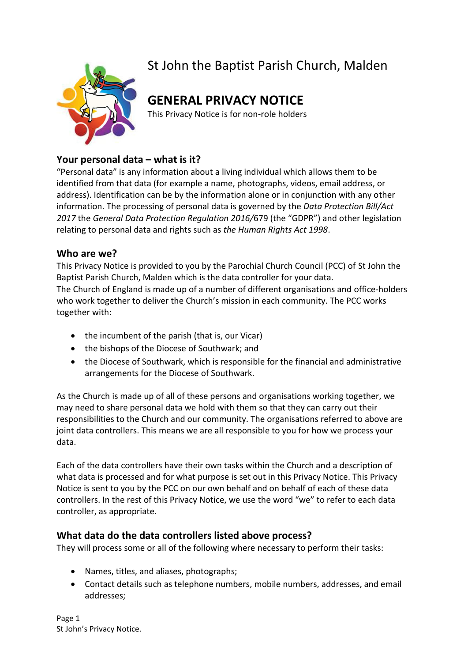

# St John the Baptist Parish Church, Malden

# **GENERAL PRIVACY NOTICE**

This Privacy Notice is for non-role holders

# **Your personal data – what is it?**

"Personal data" is any information about a living individual which allows them to be identified from that data (for example a name, photographs, videos, email address, or address). Identification can be by the information alone or in conjunction with any other information. The processing of personal data is governed by the *Data Protection Bill/Act 2017* the *General Data Protection Regulation 2016/*679 (the "GDPR") and other legislation relating to personal data and rights such as *the Human Rights Act 1998*.

# **Who are we?**

This Privacy Notice is provided to you by the Parochial Church Council (PCC) of St John the Baptist Parish Church, Malden which is the data controller for your data. The Church of England is made up of a number of different organisations and office-holders who work together to deliver the Church's mission in each community. The PCC works together with:

- the incumbent of the parish (that is, our Vicar)
- the bishops of the Diocese of Southwark; and
- the Diocese of Southwark, which is responsible for the financial and administrative arrangements for the Diocese of Southwark.

As the Church is made up of all of these persons and organisations working together, we may need to share personal data we hold with them so that they can carry out their responsibilities to the Church and our community. The organisations referred to above are joint data controllers. This means we are all responsible to you for how we process your data.

Each of the data controllers have their own tasks within the Church and a description of what data is processed and for what purpose is set out in this Privacy Notice. This Privacy Notice is sent to you by the PCC on our own behalf and on behalf of each of these data controllers. In the rest of this Privacy Notice, we use the word "we" to refer to each data controller, as appropriate.

# **What data do the data controllers listed above process?**

They will process some or all of the following where necessary to perform their tasks:

- Names, titles, and aliases, photographs;
- Contact details such as telephone numbers, mobile numbers, addresses, and email addresses;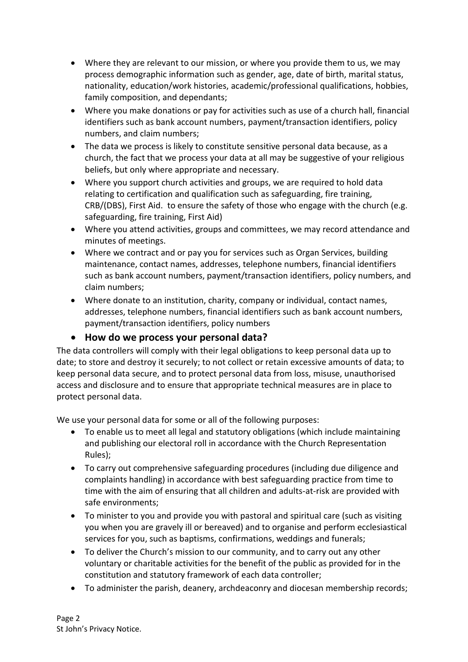- Where they are relevant to our mission, or where you provide them to us, we may process demographic information such as gender, age, date of birth, marital status, nationality, education/work histories, academic/professional qualifications, hobbies, family composition, and dependants;
- Where you make donations or pay for activities such as use of a church hall, financial identifiers such as bank account numbers, payment/transaction identifiers, policy numbers, and claim numbers;
- The data we process is likely to constitute sensitive personal data because, as a church, the fact that we process your data at all may be suggestive of your religious beliefs, but only where appropriate and necessary.
- Where you support church activities and groups, we are required to hold data relating to certification and qualification such as safeguarding, fire training, CRB/(DBS), First Aid. to ensure the safety of those who engage with the church (e.g. safeguarding, fire training, First Aid)
- Where you attend activities, groups and committees, we may record attendance and minutes of meetings.
- Where we contract and or pay you for services such as Organ Services, building maintenance, contact names, addresses, telephone numbers, financial identifiers such as bank account numbers, payment/transaction identifiers, policy numbers, and claim numbers;
- Where donate to an institution, charity, company or individual, contact names, addresses, telephone numbers, financial identifiers such as bank account numbers, payment/transaction identifiers, policy numbers

# • **How do we process your personal data?**

The data controllers will comply with their legal obligations to keep personal data up to date; to store and destroy it securely; to not collect or retain excessive amounts of data; to keep personal data secure, and to protect personal data from loss, misuse, unauthorised access and disclosure and to ensure that appropriate technical measures are in place to protect personal data.

We use your personal data for some or all of the following purposes:

- To enable us to meet all legal and statutory obligations (which include maintaining and publishing our electoral roll in accordance with the Church Representation Rules);
- To carry out comprehensive safeguarding procedures (including due diligence and complaints handling) in accordance with best safeguarding practice from time to time with the aim of ensuring that all children and adults-at-risk are provided with safe environments;
- To minister to you and provide you with pastoral and spiritual care (such as visiting you when you are gravely ill or bereaved) and to organise and perform ecclesiastical services for you, such as baptisms, confirmations, weddings and funerals;
- To deliver the Church's mission to our community, and to carry out any other voluntary or charitable activities for the benefit of the public as provided for in the constitution and statutory framework of each data controller;
- To administer the parish, deanery, archdeaconry and diocesan membership records;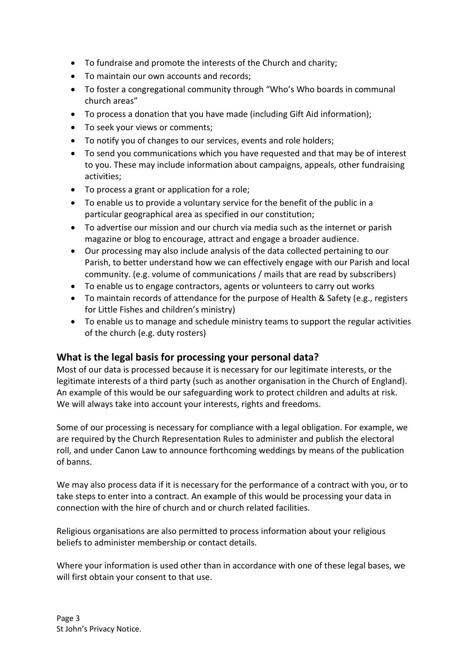- To fundraise and promote the interests of the Church and charity;
- To maintain our own accounts and records;
- To foster a congregational community through "Who's Who boards in communal church areas"
- To process a donation that you have made (including Gift Aid information);
- To seek your views or comments;
- To notify you of changes to our services, events and role holders;
- To send you communications which you have requested and that may be of interest to you. These may include information about campaigns, appeals, other fundraising activities;
- To process a grant or application for a role;
- To enable us to provide a voluntary service for the benefit of the public in a particular geographical area as specified in our constitution;
- To advertise our mission and our church via media such as the internet or parish magazine or blog to encourage, attract and engage a broader audience.
- Our processing may also include analysis of the data collected pertaining to our Parish, to better understand how we can effectively engage with our Parish and local community. (e.g. volume of communications / mails that are read by subscribers)
- To enable us to engage contractors, agents or volunteers to carry out works
- To maintain records of attendance for the purpose of Health & Safety (e.g., registers for Little Fishes and children's ministry)
- To enable us to manage and schedule ministry teams to support the regular activities of the church (e.g. duty rosters)

# **What is the legal basis for processing your personal data?**

Most of our data is processed because it is necessary for our legitimate interests, or the legitimate interests of a third party (such as another organisation in the Church of England). An example of this would be our safeguarding work to protect children and adults at risk. We will always take into account your interests, rights and freedoms.

Some of our processing is necessary for compliance with a legal obligation. For example, we are required by the Church Representation Rules to administer and publish the electoral roll, and under Canon Law to announce forthcoming weddings by means of the publication of banns.

We may also process data if it is necessary for the performance of a contract with you, or to take steps to enter into a contract. An example of this would be processing your data in connection with the hire of church and or church related facilities.

Religious organisations are also permitted to process information about your religious beliefs to administer membership or contact details.

Where your information is used other than in accordance with one of these legal bases, we will first obtain your consent to that use.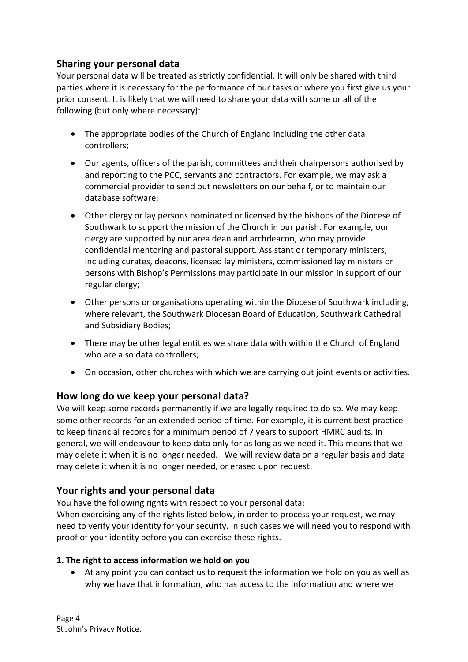# **Sharing your personal data**

Your personal data will be treated as strictly confidential. It will only be shared with third parties where it is necessary for the performance of our tasks or where you first give us your prior consent. It is likely that we will need to share your data with some or all of the following (but only where necessary):

- The appropriate bodies of the Church of England including the other data controllers;
- Our agents, officers of the parish, committees and their chairpersons authorised by and reporting to the PCC, servants and contractors. For example, we may ask a commercial provider to send out newsletters on our behalf, or to maintain our database software;
- Other clergy or lay persons nominated or licensed by the bishops of the Diocese of Southwark to support the mission of the Church in our parish. For example, our clergy are supported by our area dean and archdeacon, who may provide confidential mentoring and pastoral support. Assistant or temporary ministers, including curates, deacons, licensed lay ministers, commissioned lay ministers or persons with Bishop's Permissions may participate in our mission in support of our regular clergy;
- Other persons or organisations operating within the Diocese of Southwark including, where relevant, the Southwark Diocesan Board of Education, Southwark Cathedral and Subsidiary Bodies;
- There may be other legal entities we share data with within the Church of England who are also data controllers;
- On occasion, other churches with which we are carrying out joint events or activities.

# **How long do we keep your personal data?**

We will keep some records permanently if we are legally required to do so. We may keep some other records for an extended period of time. For example, it is current best practice to keep financial records for a minimum period of 7 years to support HMRC audits. In general, we will endeavour to keep data only for as long as we need it. This means that we may delete it when it is no longer needed. We will review data on a regular basis and data may delete it when it is no longer needed, or erased upon request.

# **Your rights and your personal data**

You have the following rights with respect to your personal data:

When exercising any of the rights listed below, in order to process your request, we may need to verify your identity for your security. In such cases we will need you to respond with proof of your identity before you can exercise these rights.

### **1. The right to access information we hold on you**

• At any point you can contact us to request the information we hold on you as well as why we have that information, who has access to the information and where we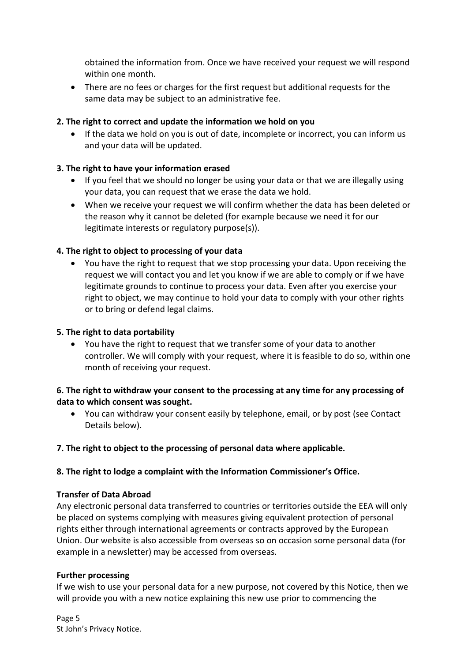obtained the information from. Once we have received your request we will respond within one month.

• There are no fees or charges for the first request but additional requests for the same data may be subject to an administrative fee.

## **2. The right to correct and update the information we hold on you**

If the data we hold on you is out of date, incomplete or incorrect, you can inform us and your data will be updated.

## **3. The right to have your information erased**

- If you feel that we should no longer be using your data or that we are illegally using your data, you can request that we erase the data we hold.
- When we receive your request we will confirm whether the data has been deleted or the reason why it cannot be deleted (for example because we need it for our legitimate interests or regulatory purpose(s)).

## **4. The right to object to processing of your data**

• You have the right to request that we stop processing your data. Upon receiving the request we will contact you and let you know if we are able to comply or if we have legitimate grounds to continue to process your data. Even after you exercise your right to object, we may continue to hold your data to comply with your other rights or to bring or defend legal claims.

### **5. The right to data portability**

• You have the right to request that we transfer some of your data to another controller. We will comply with your request, where it is feasible to do so, within one month of receiving your request.

### **6. The right to withdraw your consent to the processing at any time for any processing of data to which consent was sought.**

• You can withdraw your consent easily by telephone, email, or by post (see Contact Details below).

### **7. The right to object to the processing of personal data where applicable.**

### **8. The right to lodge a complaint with the Information Commissioner's Office.**

### **Transfer of Data Abroad**

Any electronic personal data transferred to countries or territories outside the EEA will only be placed on systems complying with measures giving equivalent protection of personal rights either through international agreements or contracts approved by the European Union. Our website is also accessible from overseas so on occasion some personal data (for example in a newsletter) may be accessed from overseas.

### **Further processing**

If we wish to use your personal data for a new purpose, not covered by this Notice, then we will provide you with a new notice explaining this new use prior to commencing the

Page 5 St John's Privacy Notice.